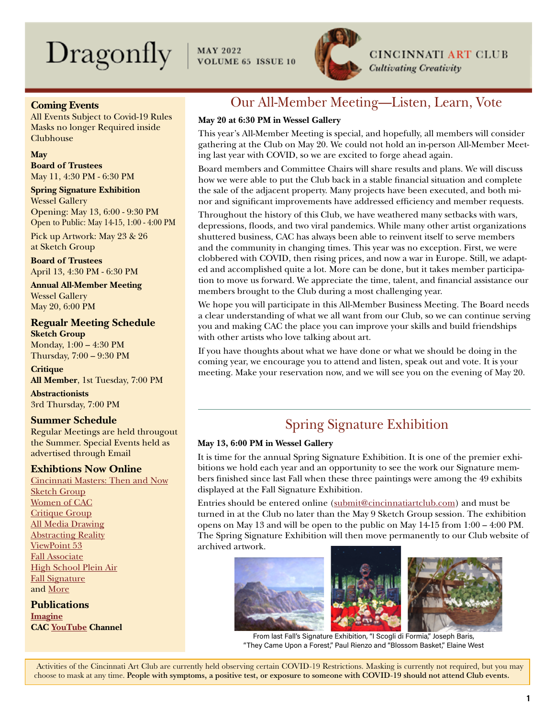# $\text{Dragonly}$  | MAY 2022



**CINCINNATI ART CLUB Cultivating Creativity** 

**Coming Events**

All Events Subject to Covid-19 Rules Masks no longer Required inside Clubhouse

**May**

**Board of Trustees** May 11, 4:30 PM - 6:30 PM

**Spring Signature Exhibition** Wessel Gallery Opening: May 13, 6:00 - 9:30 PM Open to Public: May 14-15, 1:00 - 4:00 PM

Pick up Artwork: May 23 & 26 at Sketch Group

**Board of Trustees** April 13, 4:30 PM - 6:30 PM

**Annual All-Member Meeting** Wessel Gallery May 20, 6:00 PM

### **Regualr Meeting Schedule Sketch Group**

Monday, 1:00 – 4:30 PM Thursday, 7:00 – 9:30 PM

**Critique All Member**, 1st Tuesday, 7:00 PM

**Abstractionists** 3rd Thursday, 7:00 PM

### **Summer Schedule**

Regular Meetings are held througout the Summer. Special Events held as advertised through Email

### **Exhibtions Now Online**

[Cincinnati Masters: Then and Now](https://cincinnatiartclub.org/cincinnati-masters-online-exhibition/) [Sketch Group](https://cincinnatiartclub.org/2022-sketch-group/) [Women of CAC](https://cincinnatiartclub.org/2022-women-of-cac/) [Critique Group](https://cincinnatiartclub.org/2022-critique-group-exhibition/) [All Media Drawing](https://cincinnatiartclub.org/2022-all-media-drawing/) [Abstracting Reality](https://cincinnatiartclub.org/2021-abstract-exhibition/) [ViewPoint 53](https://cincinnatiartclub.org/viewpoint-53-gallery/) [Fall Associate](https://cincinnatiartclub.org/2021-fall-associate-exhibition/) [High School Plein Air](https://cincinnatiartclub.org/fifth-annual-HSPA-gallery/) [Fall Signature](https://cincinnatiartclub.org/signature-exhibition-fall-2021/) and [More](https://cincinnatiartclub.org/exhibitions/)

**Publications [Imagine](https://cincinnatiartclub.org/community/imagine-magazine/) CAC [YouTube](https://www.youtube.com/channel/UCUfJGPsIhKnIrCSoALXW2LA) Channel**

# Our All-Member Meeting—Listen, Learn, Vote

### **May 20 at 6:30 PM in Wessel Gallery**

This year's All-Member Meeting is special, and hopefully, all members will consider gathering at the Club on May 20. We could not hold an in-person All-Member Meeting last year with COVID, so we are excited to forge ahead again.

Board members and Committee Chairs will share results and plans. We will discuss how we were able to put the Club back in a stable financial situation and complete the sale of the adjacent property. Many projects have been executed, and both minor and significant improvements have addressed efficiency and member requests.

Throughout the history of this Club, we have weathered many setbacks with wars, depressions, floods, and two viral pandemics. While many other artist organizations shuttered business, CAC has always been able to reinvent itself to serve members and the community in changing times. This year was no exception. First, we were clobbered with COVID, then rising prices, and now a war in Europe. Still, we adapted and accomplished quite a lot. More can be done, but it takes member participation to move us forward. We appreciate the time, talent, and financial assistance our members brought to the Club during a most challenging year.

We hope you will participate in this All-Member Business Meeting. The Board needs a clear understanding of what we all want from our Club, so we can continue serving you and making CAC the place you can improve your skills and build friendships with other artists who love talking about art.

If you have thoughts about what we have done or what we should be doing in the coming year, we encourage you to attend and listen, speak out and vote. It is your meeting. Make your reservation now, and we will see you on the evening of May 20.

# Spring Signature Exhibition

### **May 13, 6:00 PM in Wessel Gallery**

It is time for the annual Spring Signature Exhibition. It is one of the premier exhibitions we hold each year and an opportunity to see the work our Signature members finished since last Fall when these three paintings were among the 49 exhibits displayed at the Fall Signature Exhibition.

Entries should be entered online ([submit@cincinnatiartclub.com](mailto:submit%40cincinnatiartclub.com?subject=submit%40cincinnatiartclub.com)) and must be turned in at the Club no later than the May 9 Sketch Group session. The exhibition opens on May 13 and will be open to the public on May  $14-15$  from  $1:00-4:00$  PM. The Spring Signature Exhibition will then move permanently to our Club website of archived artwork.



From last Fall's Signature Exhibition, "I Scogli di Formia," Joseph Baris, "They Came Upon a Forest," Paul Rienzo and "Blossom Basket," Elaine West

 Activities of the Cincinnati Art Club are currently held observing certain COVID-19 Restrictions. Masking is currently not required, but you may choose to mask at any time. People with symptoms, a positive test, or exposure to someone with COVID-19 should not attend Club events.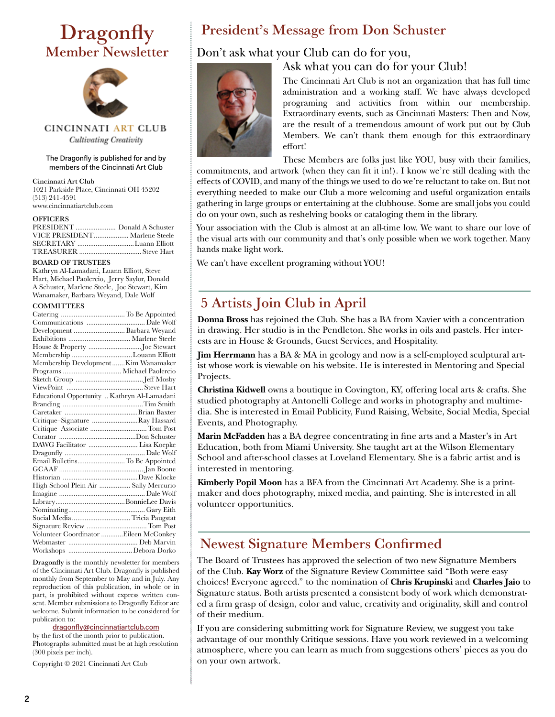# **Dragonfly** Member Newsletter



CINCINNATI ART CLUB **Cultivating Creativity** 

#### The Dragonfly is published for and by members of the Cincinnati Art Club

Cincinnati Art Club 1021 Parkside Place, Cincinnati OH 45202 (513) 241-4591 www.cincinnatiartclub.com

#### **OFFICERS**

| PRESIDENT  Donald A Schuster  |  |
|-------------------------------|--|
| VICE PRESIDENT Marlene Steele |  |
| SECRETARY Luann Elliott       |  |
|                               |  |

#### BOARD OF TRUSTEES

Kathryn Al-Lamadani, Luann Elliott, Steve Hart, Michael Paolercio, Jerry Saylor, Donald A Schuster, Marlene Steele, Joe Stewart, Kim Wanamaker, Barbara Weyand, Dale Wolf

#### **COMMITTEES**

| Development  Barbara Weyand                  |  |
|----------------------------------------------|--|
|                                              |  |
| House & Property Joe Stewart                 |  |
| Membership Louann Elliott                    |  |
| Membership DevelopmentKim Wanamaker          |  |
|                                              |  |
|                                              |  |
|                                              |  |
| Educational Opportunity  Kathryn Al-Lamadani |  |
|                                              |  |
|                                              |  |
| Critique-Signature Ray Hassard               |  |
| Critique-Associate  Tom Post                 |  |
|                                              |  |
|                                              |  |
|                                              |  |
| Email BulletinsTo Be Appointed               |  |
|                                              |  |
|                                              |  |
| High School Plein Air  Sally Mercurio        |  |
|                                              |  |
|                                              |  |
|                                              |  |
| Social Media Tricia Paugstat                 |  |
|                                              |  |
| Volunteer Coordinator Eileen McConkey        |  |
|                                              |  |
|                                              |  |
|                                              |  |

Dragonfly is the monthly newsletter for members of the Cincinnati Art Club. Dragonfly is published monthly from September to May and in July. Any reproduction of this publication, in whole or in part, is prohibited without express written consent. Member submissions to Dragonfly Editor are welcome. Submit information to be considered for publication to:

#### [dragonfly@cincinnatiartclub.com](mailto:dragonfly%40cincinnatiartclub.com?subject=dragonfly%40cincinnatiartclub.com)

by the first of the month prior to publication. Photographs submitted must be at high resolution (300 pixels per inch).

Copyright © 2021 Cincinnati Art Club

### President's Message from Don Schuster

### Don't ask what your Club can do for you,





The Cincinnati Art Club is not an organization that has full time administration and a working staff. We have always developed programing and activities from within our membership. Extraordinary events, such as Cincinnati Masters: Then and Now, are the result of a tremendous amount of work put out by Club Members. We can't thank them enough for this extraordinary effort!

These Members are folks just like YOU, busy with their families,

commitments, and artwork (when they can fit it in!). I know we're still dealing with the effects of COVID, and many of the things we used to do we're reluctant to take on. But not everything needed to make our Club a more welcoming and useful organization entails gathering in large groups or entertaining at the clubhouse. Some are small jobs you could do on your own, such as reshelving books or cataloging them in the library.

Your association with the Club is almost at an all-time low. We want to share our love of the visual arts with our community and that's only possible when we work together. Many hands make light work.

We can't have excellent programing without YOU!

### 5 Artists Join Club in April

**Donna Bross** has rejoined the Club. She has a BA from Xavier with a concentration in drawing. Her studio is in the Pendleton. She works in oils and pastels. Her interests are in House & Grounds, Guest Services, and Hospitality.

**Jim Herrmann** has a BA & MA in geology and now is a self-employed sculptural artist whose work is viewable on his website. He is interested in Mentoring and Special Projects.

**Christina Kidwell** owns a boutique in Covington, KY, offering local arts & crafts. She studied photography at Antonelli College and works in photography and multimedia. She is interested in Email Publicity, Fund Raising, Website, Social Media, Special Events, and Photography.

**Marin McFadden** has a BA degree concentrating in fine arts and a Master's in Art Education, both from Miami University. She taught art at the Wilson Elementary School and after-school classes at Loveland Elementary. She is a fabric artist and is interested in mentoring.

**Kimberly Popil Moon** has a BFA from the Cincinnati Art Academy. She is a printmaker and does photography, mixed media, and painting. She is interested in all volunteer opportunities.

### Newest Signature Members Confirmed

The Board of Trustees has approved the selection of two new Signature Members of the Club. **Kay Worz** of the Signature Review Committee said "Both were easy choices! Everyone agreed." to the nomination of **Chris Krupinski** and **Charles Jaio** to Signature status. Both artists presented a consistent body of work which demonstrated a firm grasp of design, color and value, creativity and originality, skill and control of their medium.

If you are considering submitting work for Signature Review, we suggest you take advantage of our monthly Critique sessions. Have you work reviewed in a welcoming atmosphere, where you can learn as much from suggestions others' pieces as you do on your own artwork.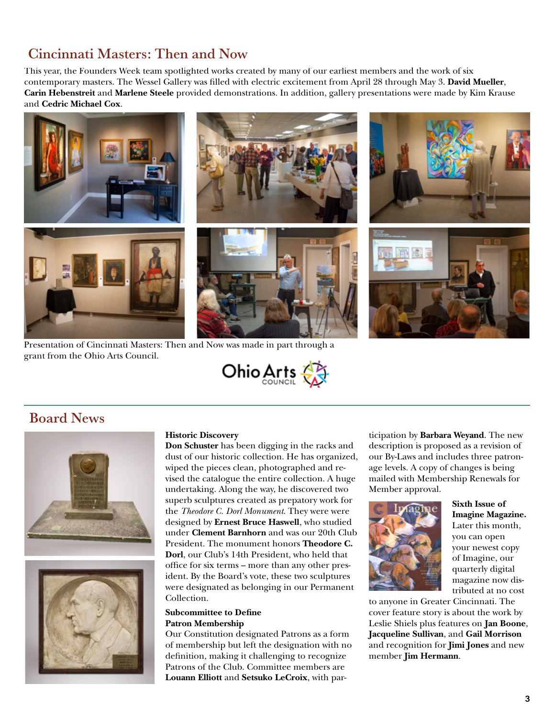# Cincinnati Masters: Then and Now

This year, the Founders Week team spotlighted works created by many of our earliest members and the work of six contemporary masters. The Wessel Gallery was filled with electric excitement from April 28 through May 3. **David Mueller**, **Carin Hebenstreit** and **Marlene Steele** provided demonstrations. In addition, gallery presentations were made by Kim Krause and **Cedric Michael Cox**.



Presentation of Cincinnati Masters: Then and Now was made in part through a grant from the Ohio Arts Council.



### Board News





#### **Historic Discovery**

**Don Schuster** has been digging in the racks and dust of our historic collection. He has organized, wiped the pieces clean, photographed and revised the catalogue the entire collection. A huge undertaking. Along the way, he discovered two superb sculptures created as prepatory work for the *Theodore C. Dorl Monument*. They were were designed by **Ernest Bruce Haswell**, who studied under **Clement Barnhorn** and was our 20th Club President. The monument honors **Theodore C. Dorl**, our Club's 14th President, who held that office for six terms – more than any other president. By the Board's vote, these two sculptures were designated as belonging in our Permanent Collection.

### **Subcommittee to Define Patron Membership**

Our Constitution designated Patrons as a form of membership but left the designation with no definition, making it challenging to recognize Patrons of the Club. Committee members are **Louann Elliott** and **Setsuko LeCroix**, with par-

ticipation by **Barbara Weyand**. The new description is proposed as a revision of our By-Laws and includes three patronage levels. A copy of changes is being mailed with Membership Renewals for Member approval.



### **Sixth Issue of Imagine Magazine.**

Later this month, you can open your newest copy of Imagine, our quarterly digital magazine now distributed at no cost

to anyone in Greater Cincinnati. The cover feature story is about the work by Leslie Shiels plus features on **Jan Boone**, **Jacqueline Sullivan**, and **Gail Morrison** and recognition for **Jimi Jones** and new member **Jim Hermann**.